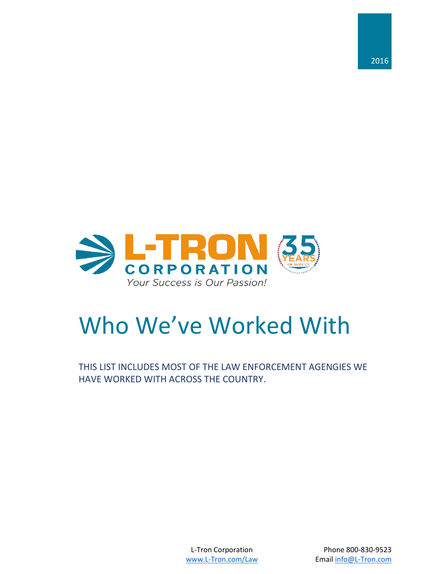

# Who We've Worked With

THIS LIST INCLUDES MOST OF THE LAW ENFORCEMENT AGENGIES WE HAVE WORKED WITH ACROSS THE COUNTRY.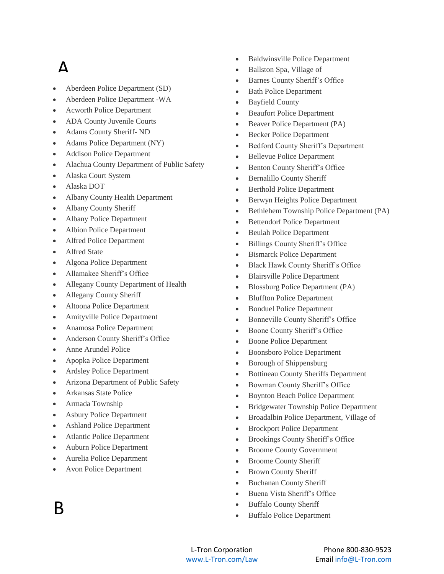#### $\Delta$

- Aberdeen Police Department (SD)
- Aberdeen Police Department -WA
- Acworth Police Department
- ADA County Juvenile Courts
- Adams County Sheriff- ND
- Adams Police Department (NY)
- Addison Police Department
- Alachua County Department of Public Safety
- Alaska Court System
- Alaska DOT
- Albany County Health Department
- Albany County Sheriff
- Albany Police Department
- Albion Police Department
- Alfred Police Department
- Alfred State
- Algona Police Department
- Allamakee Sheriff's Office
- Allegany County Department of Health
- Allegany County Sheriff
- Altoona Police Department
- Amityville Police Department
- Anamosa Police Department
- Anderson County Sheriff's Office
- Anne Arundel Police
- Apopka Police Department
- Ardsley Police Department
- Arizona Department of Public Safety
- Arkansas State Police
- Armada Township
- Asbury Police Department
- Ashland Police Department
- Atlantic Police Department
- Auburn Police Department
- Aurelia Police Department
- Avon Police Department

B

- Baldwinsville Police Department
- Ballston Spa, Village of
- Barnes County Sheriff's Office
- Bath Police Department
- Bayfield County
- Beaufort Police Department
- Beaver Police Department (PA)
- Becker Police Department
- Bedford County Sheriff's Department
- Bellevue Police Department
- Benton County Sheriff's Office
- Bernalillo County Sheriff
- Berthold Police Department
- Berwyn Heights Police Department
- Bethlehem Township Police Department (PA)
- Bettendorf Police Department
- Beulah Police Department
- Billings County Sheriff's Office
- Bismarck Police Department
- Black Hawk County Sheriff's Office
- Blairsville Police Department
- Blossburg Police Department (PA)
- Bluffton Police Department
- Bonduel Police Department
- Bonneville County Sheriff's Office
- Boone County Sheriff's Office
- Boone Police Department
- Boonsboro Police Department
- Borough of Shippensburg
- Bottineau County Sheriffs Department
- Bowman County Sheriff's Office
- Boynton Beach Police Department
- Bridgewater Township Police Department
- Broadalbin Police Department, Village of
- Brockport Police Department
- Brookings County Sheriff's Office
- Broome County Government
- Broome County Sheriff
- Brown County Sheriff
- Buchanan County Sheriff
- Buena Vista Sheriff's Office
- Buffalo County Sheriff
- Buffalo Police Department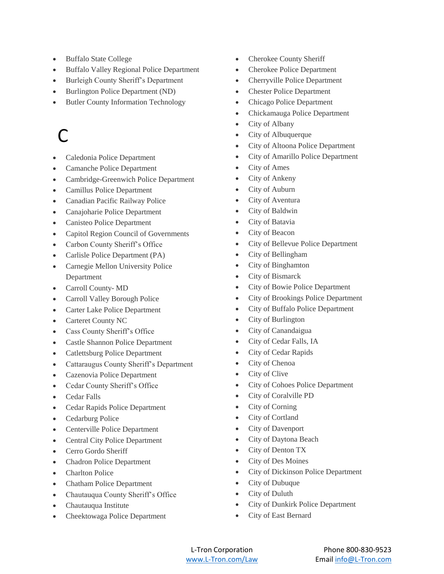- Buffalo State College
- Buffalo Valley Regional Police Department
- Burleigh County Sheriff's Department
- Burlington Police Department (ND)
- Butler County Information Technology

# C

- Caledonia Police Department
- Camanche Police Department
- Cambridge-Greenwich Police Department
- Camillus Police Department
- Canadian Pacific Railway Police
- Canajoharie Police Department
- Canisteo Police Department
- Capitol Region Council of Governments
- Carbon County Sheriff's Office
- Carlisle Police Department (PA)
- Carnegie Mellon University Police Department
- Carroll County- MD
- Carroll Valley Borough Police
- Carter Lake Police Department
- Carteret County NC
- Cass County Sheriff's Office
- Castle Shannon Police Department
- Catlettsburg Police Department
- Cattaraugus County Sheriff's Department
- Cazenovia Police Department
- Cedar County Sheriff's Office
- Cedar Falls
- Cedar Rapids Police Department
- Cedarburg Police
- Centerville Police Department
- Central City Police Department
- Cerro Gordo Sheriff
- Chadron Police Department
- Charlton Police
- Chatham Police Department
- Chautauqua County Sheriff's Office
- Chautauqua Institute
- Cheektowaga Police Department
- Cherokee County Sheriff
- Cherokee Police Department
- Cherryville Police Department
- Chester Police Department
- Chicago Police Department
- Chickamauga Police Department
- City of Albany
- City of Albuquerque
- City of Altoona Police Department
- City of Amarillo Police Department
- City of Ames
- City of Ankeny
- City of Auburn
- City of Aventura
- City of Baldwin
- City of Batavia
- City of Beacon
- City of Bellevue Police Department
- City of Bellingham
- City of Binghamton
- City of Bismarck
- City of Bowie Police Department
- City of Brookings Police Department
- City of Buffalo Police Department
- City of Burlington
- City of Canandaigua
- City of Cedar Falls, IA
- City of Cedar Rapids
- City of Chenoa
- City of Clive
- City of Cohoes Police Department
- City of Coralville PD
- City of Corning
- City of Cortland
- City of Davenport
- City of Daytona Beach
- City of Denton TX
- City of Des Moines
- City of Dickinson Police Department
- City of Dubuque
- City of Duluth
- City of Dunkirk Police Department
- City of East Bernard
-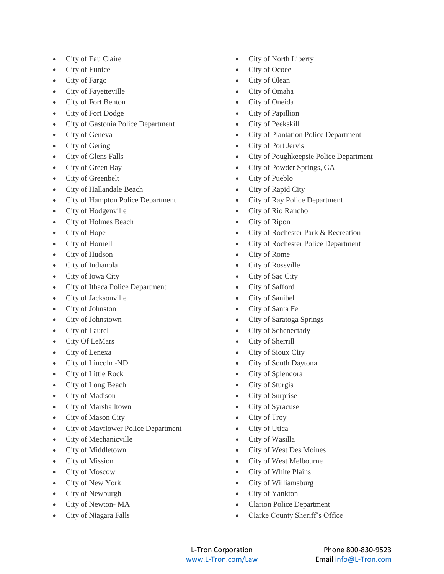- City of Eau Claire
- City of Eunice
- City of Fargo
- City of Fayetteville
- City of Fort Benton
- City of Fort Dodge
- City of Gastonia Police Department
- City of Geneva
- City of Gering
- City of Glens Falls
- City of Green Bay
- City of Greenbelt
- City of Hallandale Beach
- City of Hampton Police Department
- City of Hodgenville
- City of Holmes Beach
- City of Hope
- City of Hornell
- City of Hudson
- City of Indianola
- City of Iowa City
- City of Ithaca Police Department
- City of Jacksonville
- City of Johnston
- City of Johnstown
- City of Laurel
- City Of LeMars
- City of Lenexa
- City of Lincoln -ND
- City of Little Rock
- City of Long Beach
- City of Madison
- City of Marshalltown
- City of Mason City
- City of Mayflower Police Department
- City of Mechanicville
- City of Middletown
- City of Mission
- City of Moscow
- City of New York
- City of Newburgh
- City of Newton-MA
- City of Niagara Falls
- City of North Liberty
- City of Ocoee
- City of Olean
- City of Omaha
- City of Oneida
- City of Papillion
- City of Peekskill
- City of Plantation Police Department
- City of Port Jervis
- City of Poughkeepsie Police Department
- City of Powder Springs, GA
- City of Pueblo
- City of Rapid City
- City of Ray Police Department
- City of Rio Rancho
- City of Ripon
- City of Rochester Park & Recreation
- City of Rochester Police Department
- City of Rome
- City of Rossville
- City of Sac City
- City of Safford
- City of Sanibel
- City of Santa Fe
- City of Saratoga Springs
- City of Schenectady
- City of Sherrill
- City of Sioux City
- City of South Daytona
- City of Splendora
- City of Sturgis
- City of Surprise
- City of Syracuse
- City of Troy
- City of Utica
- City of Wasilla
- City of West Des Moines
- City of West Melbourne
- City of White Plains
- City of Williamsburg
- City of Yankton
- Clarion Police Department
- Clarke County Sheriff's Office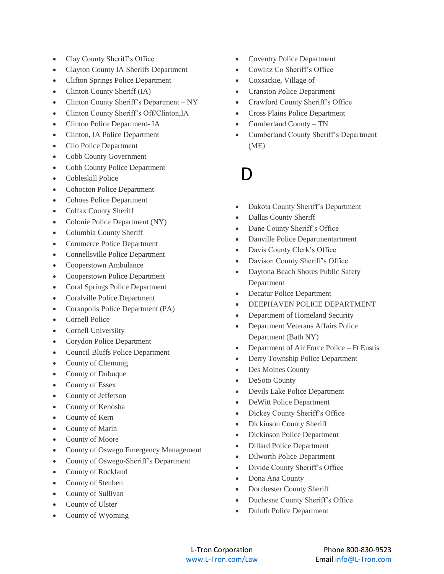- Clay County Sheriff's Office
- Clayton County IA Sheriifs Department
- Clifton Springs Police Department
- Clinton County Sheriff (IA)
- Clinton County Sheriff's Department NY
- Clinton County Sheriff's Off/Clinton,IA
- Clinton Police Department- IA
- Clinton, IA Police Department
- Clio Police Department
- Cobb County Government
- Cobb County Police Department
- Cobleskill Police
- Cohocton Police Department
- Cohoes Police Department
- Colfax County Sheriff
- Colonie Police Department (NY)
- Columbia County Sheriff
- Commerce Police Department
- Connellsville Police Department
- Cooperstown Ambulance
- Cooperstown Police Department
- Coral Springs Police Department
- Coralville Police Department
- Coraopolis Police Department (PA)
- Cornell Police
- Cornell Universiity
- Corydon Police Department
- Council Bluffs Police Department
- County of Chemung
- County of Dubuque
- County of Essex
- County of Jefferson
- County of Kenosha
- County of Kern
- County of Marin
- County of Moore
- County of Oswego Emergency Management
- County of Oswego-Sheriff's Department
- County of Rockland
- County of Steuben
- County of Sullivan
- County of Ulster
- County of Wyoming
- Coventry Police Department
- Cowlitz Co Sheriff's Office
- Coxsackie, Village of
- Cranston Police Department
- Crawford County Sheriff's Office
- Cross Plains Police Department
- Cumberland County TN
- Cumberland County Sheriff's Department (ME)

l)

- Dakota County Sheriff's Department
- Dallas County Sheriff
- Dane County Sheriff's Office
- Danville Police Departmentartment
- Davis County Clerk's Office
- Davison County Sheriff's Office
- Daytona Beach Shores Public Safety Department
- Decatur Police Department
- DEEPHAVEN POLICE DEPARTMENT
- Department of Homeland Security
- Department Veterans Affairs Police Department (Bath NY)
- Department of Air Force Police Ft Eustis
- Derry Township Police Department
- Des Moines County
- DeSoto County
- Devils Lake Police Department
- DeWitt Police Department
- Dickey County Sheriff's Office
- Dickinson County Sheriff
- Dickinson Police Department
- Dillard Police Department
- Dilworth Police Department
- Divide County Sheriff's Office
- Dona Ana County
- Dorchester County Sheriff
- Duchesne County Sheriff's Office
- Duluth Police Department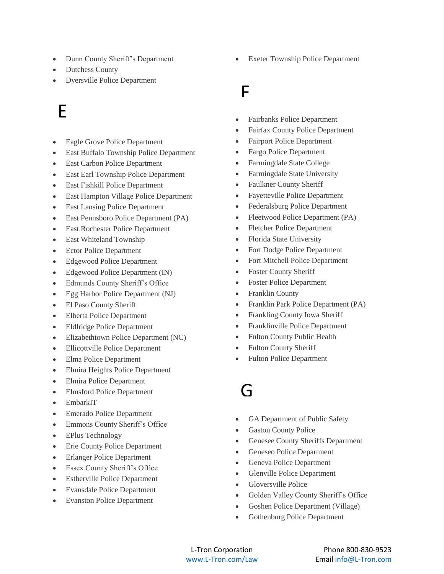- Dunn County Sheriff's Department
- Dutchess County
- Dyersville Police Department

# E

- Eagle Grove Police Department
- East Buffalo Township Police Department
- East Carbon Police Department
- East Earl Township Police Department
- East Fishkill Police Department
- East Hampton Village Police Department
- East Lansing Police Department
- East Pennsboro Police Department (PA)
- East Rochester Police Department
- East Whiteland Township
- Ector Police Department
- Edgewood Police Department
- Edgewood Police Department (IN)
- Edmunds County Sheriff's Office
- Egg Harbor Police Department (NJ)
- El Paso County Sheriff
- Elberta Police Department
- Eldlridge Police Department
- Elizabethtown Police Department (NC)
- Ellicottville Police Department
- Elma Police Department
- Elmira Heights Police Department
- Elmira Police Department
- Elmsford Police Department
- EmbarkIT
- Emerado Police Department
- Emmons County Sheriff's Office
- EPlus Technology
- Erie County Police Department
- Erlanger Police Department
- Essex County Sheriff's Office
- Estherville Police Department
- Evansdale Police Department
- Evanston Police Department

Exeter Township Police Department

#### F

- Fairbanks Police Department
- Fairfax County Police Department
- Fairport Police Department
- Fargo Police Department
- Farmingdale State College
- Farmingdale State University
- Faulkner County Sheriff
- Fayetteville Police Department
- Federalsburg Police Department
- Fleetwood Police Department (PA)
- Fletcher Police Department
- Florida State University
- Fort Dodge Police Department
- Fort Mitchell Police Department
- Foster County Sheriff
- Foster Police Department
- Franklin County
- Franklin Park Police Department (PA)
- Frankling County Iowa Sheriff
- Franklinville Police Department
- Fulton County Public Health
- Fulton County Sheriff
- Fulton Police Department
- G
- GA Department of Public Safety
- Gaston County Police
- Genesee County Sheriffs Department
- Geneseo Police Department
- Geneva Police Department
- Glenville Police Department
- Gloversville Police
- Golden Valley County Sheriff's Office
- Goshen Police Department (Village)
- Gothenburg Police Department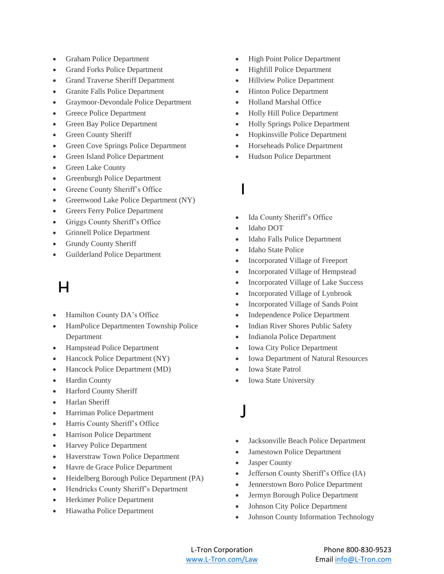- Graham Police Department
- Grand Forks Police Department
- Grand Traverse Sheriff Department
- Granite Falls Police Department
- Graymoor-Devondale Police Department
- Greece Police Department
- Green Bay Police Department
- Green County Sheriff
- Green Cove Springs Police Department
- Green Island Police Department
- Green Lake County
- Greenburgh Police Department
- Greene County Sheriff's Office
- Greenwood Lake Police Department (NY)
- Greers Ferry Police Department
- Griggs County Sheriff's Office
- Grinnell Police Department
- Grundy County Sheriff
- Guilderland Police Department

#### $\mathsf{H}$

- Hamilton County DA's Office
- HamPolice Departmenten Township Police Department
- Hampstead Police Department
- Hancock Police Department (NY)
- Hancock Police Department (MD)
- Hardin County
- Harford County Sheriff
- Harlan Sheriff
- Harriman Police Department
- Harris County Sheriff's Office
- Harrison Police Department
- Harvey Police Department
- Haverstraw Town Police Department
- Havre de Grace Police Department
- Heidelberg Borough Police Department (PA)
- Hendricks County Sheriff's Department
- Herkimer Police Department
- Hiawatha Police Department
- High Point Police Department
- Highfill Police Department
- Hillview Police Department
- Hinton Police Department
- Holland Marshal Office
- Holly Hill Police Department
- Holly Springs Police Department
- Hopkinsville Police Department
- Horseheads Police Department
- Hudson Police Department
- I
- Ida County Sheriff's Office
- Idaho DOT
- Idaho Falls Police Department
- Idaho State Police
- Incorporated Village of Freeport
- Incorporated Village of Hempstead
- Incorporated Village of Lake Success
- Incorporated Village of Lynbrook
- Incorporated Village of Sands Point
- Independence Police Department
- Indian River Shores Public Safety
- Indianola Police Department
- Iowa City Police Department
- Iowa Department of Natural Resources
- Iowa State Patrol
- Iowa State University
- J
- Jacksonville Beach Police Department
- Jamestown Police Department
- Jasper County
- Jefferson County Sheriff's Office (IA)
- Jennerstown Boro Police Department
- Jermyn Borough Police Department
- Johnson City Police Department
- Johnson County Information Technology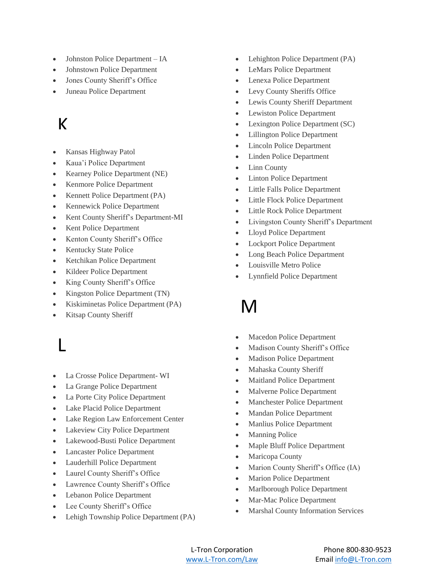- Johnston Police Department IA
- Johnstown Police Department
- Jones County Sheriff's Office
- Juneau Police Department

#### $\mathbf k$

- Kansas Highway Patol
- Kaua'i Police Department
- Kearney Police Department (NE)
- Kenmore Police Department
- Kennett Police Department (PA)
- Kennewick Police Department
- Kent County Sheriff's Department-MI
- Kent Police Department
- Kenton County Sheriff's Office
- Kentucky State Police
- Ketchikan Police Department
- Kildeer Police Department
- King County Sheriff's Office
- Kingston Police Department (TN)
- Kiskiminetas Police Department (PA)
- Kitsap County Sheriff

### L

- La Crosse Police Department- WI
- La Grange Police Department
- La Porte City Police Department
- Lake Placid Police Department
- Lake Region Law Enforcement Center
- Lakeview City Police Department
- Lakewood-Busti Police Department
- Lancaster Police Department
- Lauderhill Police Department
- Laurel County Sheriff's Office
- Lawrence County Sheriff's Office
- Lebanon Police Department
- Lee County Sheriff's Office
- Lehigh Township Police Department (PA)
- Lehighton Police Department (PA)
- LeMars Police Department
- Lenexa Police Department
- Levy County Sheriffs Office
- Lewis County Sheriff Department
- Lewiston Police Department
- Lexington Police Department (SC)
- Lillington Police Department
- Lincoln Police Department
- Linden Police Department
- Linn County
- Linton Police Department
- Little Falls Police Department
- Little Flock Police Department
- Little Rock Police Department
- Livingston County Sheriff's Department
- Lloyd Police Department
- Lockport Police Department
- Long Beach Police Department
- Louisville Metro Police
- Lynnfield Police Department

#### M

- Macedon Police Department
- Madison County Sheriff's Office
- Madison Police Department
- Mahaska County Sheriff
- Maitland Police Department
- Malverne Police Department
- Manchester Police Department
- Mandan Police Department
- Manlius Police Department
- Manning Police
- Maple Bluff Police Department
- Maricopa County
- Marion County Sheriff's Office (IA)
- Marion Police Department
- Marlborough Police Department
- Mar-Mac Police Department
- Marshal County Information Services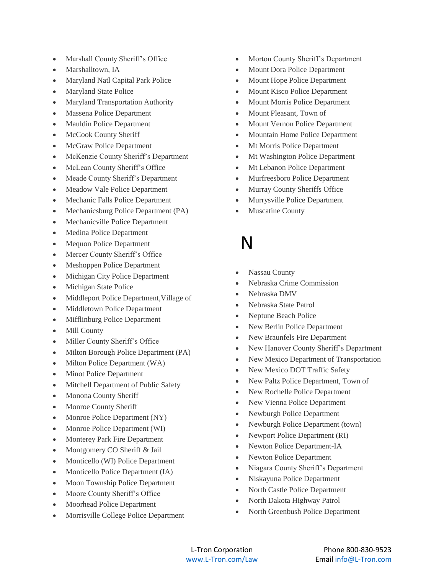- Marshall County Sheriff's Office
- Marshalltown, IA
- Maryland Natl Capital Park Police
- Maryland State Police
- Maryland Transportation Authority
- Massena Police Department
- Mauldin Police Department
- McCook County Sheriff
- McGraw Police Department
- McKenzie County Sheriff's Department
- McLean County Sheriff's Office
- Meade County Sheriff's Department
- Meadow Vale Police Department
- Mechanic Falls Police Department
- Mechanicsburg Police Department (PA)
- Mechanicville Police Department
- Medina Police Department
- Mequon Police Department
- Mercer County Sheriff's Office
- Meshoppen Police Department
- Michigan City Police Department
- Michigan State Police
- Middleport Police Department,Village of
- Middletown Police Department
- Mifflinburg Police Department
- Mill County
- Miller County Sheriff's Office
- Milton Borough Police Department (PA)
- Milton Police Department (WA)
- Minot Police Department
- Mitchell Department of Public Safety
- Monona County Sheriff
- Monroe County Sheriff
- Monroe Police Department (NY)
- Monroe Police Department (WI)
- Monterey Park Fire Department
- Montgomery CO Sheriff & Jail
- Monticello (WI) Police Department
- Monticello Police Department (IA)
- Moon Township Police Department
- Moore County Sheriff's Office
- Moorhead Police Department
- Morrisville College Police Department
- Morton County Sheriff's Department
- Mount Dora Police Department
- Mount Hope Police Department
- Mount Kisco Police Department
- Mount Morris Police Department
- Mount Pleasant, Town of
- Mount Vernon Police Department
- Mountain Home Police Department
- Mt Morris Police Department
- Mt Washington Police Department
- Mt Lebanon Police Department
- Murfreesboro Police Department
- Murray County Sheriffs Office
- Murrysville Police Department
- Muscatine County

#### N

- Nassau County
- Nebraska Crime Commission
- Nebraska DMV
- Nebraska State Patrol
- Neptune Beach Police
- New Berlin Police Department
- New Braunfels Fire Department
- New Hanover County Sheriff's Department
- New Mexico Department of Transportation
- New Mexico DOT Traffic Safety
- New Paltz Police Department, Town of
- New Rochelle Police Department
- New Vienna Police Department
- Newburgh Police Department
- Newburgh Police Department (town)
- Newport Police Department (RI)
- Newton Police Department-IA
- Newton Police Department
- Niagara County Sheriff's Department
- Niskayuna Police Department
- North Castle Police Department
- North Dakota Highway Patrol
- North Greenbush Police Department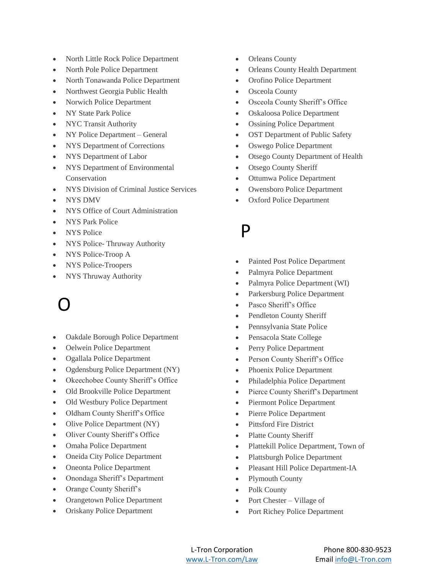- North Little Rock Police Department
- North Pole Police Department
- North Tonawanda Police Department
- Northwest Georgia Public Health
- Norwich Police Department
- NY State Park Police
- NYC Transit Authority
- NY Police Department General
- NYS Department of Corrections
- NYS Department of Labor
- NYS Department of Environmental Conservation
- NYS Division of Criminal Justice Services
- NYS DMV
- NYS Office of Court Administration
- NYS Park Police
- NYS Police
- NYS Police- Thruway Authority
- NYS Police-Troop A
- NYS Police-Troopers
- NYS Thruway Authority

# O

- Oakdale Borough Police Department
- Oelwein Police Department
- Ogallala Police Department
- Ogdensburg Police Department (NY)
- Okeechobee County Sheriff's Office
- Old Brookville Police Department
- Old Westbury Police Department
- Oldham County Sheriff's Office
- Olive Police Department (NY)
- Oliver County Sheriff's Office
- Omaha Police Department
- Oneida City Police Department
- Oneonta Police Department
- Onondaga Sheriff's Department
- Orange County Sheriff's
- Orangetown Police Department
- Oriskany Police Department
- Orleans County
- Orleans County Health Department
- Orofino Police Department
- Osceola County
- Osceola County Sheriff's Office
- Oskaloosa Police Department
- Ossining Police Department
- OST Department of Public Safety
- Oswego Police Department
- Otsego County Department of Health
- Otsego County Sheriff
- Ottumwa Police Department
- Owensboro Police Department
- Oxford Police Department

#### P

- Painted Post Police Department
- Palmyra Police Department
- Palmyra Police Department (WI)
- Parkersburg Police Department
- Pasco Sheriff's Office
- Pendleton County Sheriff
- Pennsylvania State Police
- Pensacola State College
- Perry Police Department
- Person County Sheriff's Office
- Phoenix Police Department
- Philadelphia Police Department
- Pierce County Sheriff's Department
- Piermont Police Department
- Pierre Police Department
- Pittsford Fire District
- Platte County Sheriff
- Plattekill Police Department, Town of
- Plattsburgh Police Department
- Pleasant Hill Police Department-IA
- Plymouth County
- Polk County
- Port Chester Village of
- Port Richey Police Department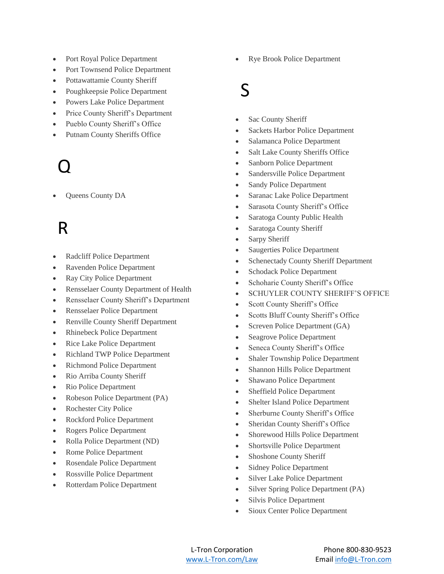- Port Royal Police Department
- Port Townsend Police Department
- Pottawattamie County Sheriff
- Poughkeepsie Police Department
- Powers Lake Police Department
- Price County Sheriff's Department
- Pueblo County Sheriff's Office
- Putnam County Sheriffs Office

# Q

Queens County DA

### R

- Radcliff Police Department
- Ravenden Police Department
- Ray City Police Department
- Rensselaer County Department of Health
- Rensselaer County Sheriff's Department
- Rensselaer Police Department
- Renville County Sheriff Department
- Rhinebeck Police Department
- Rice Lake Police Department
- Richland TWP Police Department
- Richmond Police Department
- Rio Arriba County Sheriff
- Rio Police Department
- Robeson Police Department (PA)
- Rochester City Police
- Rockford Police Department
- Rogers Police Department
- Rolla Police Department (ND)
- Rome Police Department
- Rosendale Police Department
- Rossville Police Department
- Rotterdam Police Department

Rye Brook Police Department

### S

- Sac County Sheriff
- Sackets Harbor Police Department
- Salamanca Police Department
- Salt Lake County Sheriffs Office
- Sanborn Police Department
- Sandersville Police Department
- Sandy Police Department
- Saranac Lake Police Department
- Sarasota County Sheriff's Office
- Saratoga County Public Health
- Saratoga County Sheriff
- Sarpy Sheriff
- Saugerties Police Department
- Schenectady County Sheriff Department
- Schodack Police Department
- Schoharie County Sheriff's Office
- SCHUYLER COUNTY SHERIFF'S OFFICE
- Scott County Sheriff's Office
- Scotts Bluff County Sheriff's Office
- Screven Police Department (GA)
- Seagrove Police Department
- Seneca County Sheriff's Office
- Shaler Township Police Department
- Shannon Hills Police Department
- Shawano Police Department
- Sheffield Police Department
- Shelter Island Police Department
- Sherburne County Sheriff's Office
- Sheridan County Sheriff's Office
- Shorewood Hills Police Department
- Shortsville Police Department
- Shoshone County Sheriff
- Sidney Police Department
- Silver Lake Police Department
- Silver Spring Police Department (PA)
- Silvis Police Department
- Sioux Center Police Department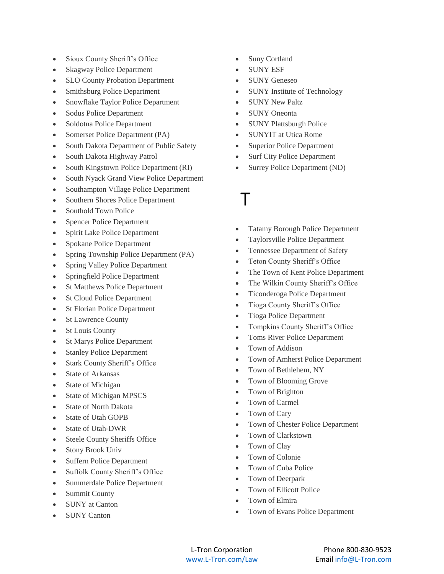- Sioux County Sheriff's Office
- Skagway Police Department
- SLO County Probation Department
- Smithsburg Police Department
- Snowflake Taylor Police Department
- Sodus Police Department
- Soldotna Police Department
- Somerset Police Department (PA)
- South Dakota Department of Public Safety
- South Dakota Highway Patrol
- South Kingstown Police Department (RI)
- South Nyack Grand View Police Department
- Southampton Village Police Department
- Southern Shores Police Department
- Southold Town Police
- Spencer Police Department
- Spirit Lake Police Department
- Spokane Police Department
- Spring Township Police Department (PA)
- Spring Valley Police Department
- Springfield Police Department
- St Matthews Police Department
- St Cloud Police Department
- St Florian Police Department
- St Lawrence County
- St Louis County
- St Marys Police Department
- Stanley Police Department
- Stark County Sheriff's Office
- State of Arkansas
- State of Michigan
- State of Michigan MPSCS
- State of North Dakota
- State of Utah GOPB
- State of Utah-DWR
- Steele County Sheriffs Office
- Stony Brook Univ
- Suffern Police Department
- Suffolk County Sheriff's Office
- Summerdale Police Department
- Summit County
- SUNY at Canton
- SUNY Canton
- Suny Cortland
- SUNY ESF
- SUNY Geneseo
- SUNY Institute of Technology
- SUNY New Paltz
- SUNY Oneonta
- SUNY Plattsburgh Police
- SUNYIT at Utica Rome
- Superior Police Department
- Surf City Police Department
- Surrey Police Department (ND)
- T
- Tatamy Borough Police Department
- Taylorsville Police Department
- Tennessee Department of Safety
- Teton County Sheriff's Office
- The Town of Kent Police Department
- The Wilkin County Sheriff's Office
- Ticonderoga Police Department
- Tioga County Sheriff's Office
- Tioga Police Department
- Tompkins County Sheriff's Office
- Toms River Police Department
- Town of Addison
- Town of Amherst Police Department
- Town of Bethlehem, NY
- Town of Blooming Grove
- Town of Brighton
- Town of Carmel
- Town of Cary
- Town of Chester Police Department
- Town of Clarkstown
- Town of Clay
- Town of Colonie
- Town of Cuba Police
- Town of Deerpark
- Town of Ellicott Police
- Town of Elmira
- Town of Evans Police Department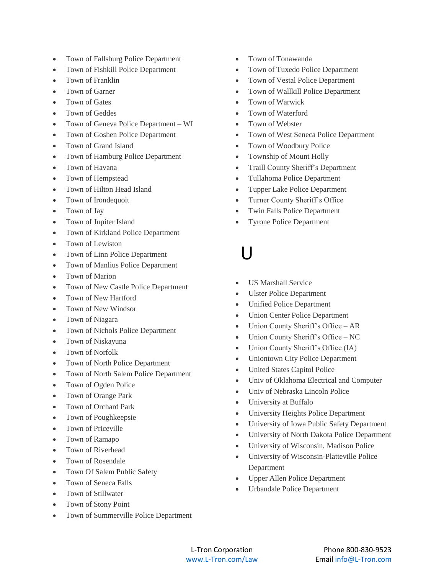- Town of Fallsburg Police Department
- Town of Fishkill Police Department
- Town of Franklin
- Town of Garner
- Town of Gates
- Town of Geddes
- Town of Geneva Police Department WI
- Town of Goshen Police Department
- Town of Grand Island
- Town of Hamburg Police Department
- Town of Havana
- Town of Hempstead
- Town of Hilton Head Island
- Town of Irondequoit
- Town of Jay
- Town of Jupiter Island
- Town of Kirkland Police Department
- Town of Lewiston
- Town of Linn Police Department
- Town of Manlius Police Department
- Town of Marion
- Town of New Castle Police Department
- Town of New Hartford
- Town of New Windsor
- Town of Niagara
- Town of Nichols Police Department
- Town of Niskayuna
- Town of Norfolk
- Town of North Police Department
- Town of North Salem Police Department
- Town of Ogden Police
- Town of Orange Park
- Town of Orchard Park
- Town of Poughkeepsie
- Town of Priceville
- Town of Ramapo
- Town of Riverhead
- Town of Rosendale
- Town Of Salem Public Safety
- Town of Seneca Falls
- Town of Stillwater
- Town of Stony Point
- Town of Summerville Police Department
- Town of Tonawanda
- Town of Tuxedo Police Department
- Town of Vestal Police Department
- Town of Wallkill Police Department
- Town of Warwick
- Town of Waterford
- Town of Webster
- Town of West Seneca Police Department
- Town of Woodbury Police
- Township of Mount Holly
- Traill County Sheriff's Department
- Tullahoma Police Department
- Tupper Lake Police Department
- Turner County Sheriff's Office
- Twin Falls Police Department
- Tyrone Police Department

### $\mathsf{U}$

- US Marshall Service
- Ulster Police Department
- Unified Police Department
- Union Center Police Department
- Union County Sheriff's Office AR
- Union County Sheriff's Office NC
- Union County Sheriff's Office (IA)
- Uniontown City Police Department
- United States Capitol Police
- Univ of Oklahoma Electrical and Computer
- Univ of Nebraska Lincoln Police
- University at Buffalo
- University Heights Police Department
- University of Iowa Public Safety Department
- University of North Dakota Police Department
- University of Wisconsin, Madison Police
- University of Wisconsin-Platteville Police Department
- Upper Allen Police Department
- Urbandale Police Department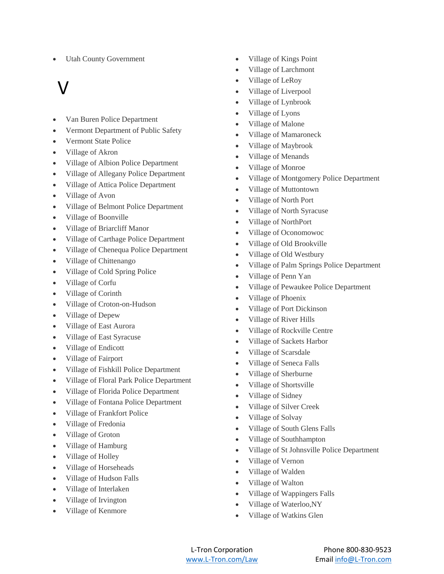Utah County Government

# V

- Van Buren Police Department
- Vermont Department of Public Safety
- Vermont State Police
- Village of Akron
- Village of Albion Police Department
- Village of Allegany Police Department
- Village of Attica Police Department
- Village of Avon
- Village of Belmont Police Department
- Village of Boonville
- Village of Briarcliff Manor
- Village of Carthage Police Department
- Village of Chenequa Police Department
- Village of Chittenango
- Village of Cold Spring Police
- Village of Corfu
- Village of Corinth
- Village of Croton-on-Hudson
- Village of Depew
- Village of East Aurora
- Village of East Syracuse
- Village of Endicott
- Village of Fairport
- Village of Fishkill Police Department
- Village of Floral Park Police Department
- Village of Florida Police Department
- Village of Fontana Police Department
- Village of Frankfort Police
- Village of Fredonia
- Village of Groton
- Village of Hamburg
- Village of Holley
- Village of Horseheads
- Village of Hudson Falls
- Village of Interlaken
- Village of Irvington
- Village of Kenmore
- Village of Kings Point
- Village of Larchmont
- Village of LeRoy
- Village of Liverpool
- Village of Lynbrook
- Village of Lyons
- Village of Malone
- Village of Mamaroneck
- Village of Maybrook
- Village of Menands
- Village of Monroe
- Village of Montgomery Police Department
- Village of Muttontown
- Village of North Port
- Village of North Syracuse
- Village of NorthPort
- Village of Oconomowoc
- Village of Old Brookville
- Village of Old Westbury
- Village of Palm Springs Police Department
- Village of Penn Yan
- Village of Pewaukee Police Department
- Village of Phoenix
- Village of Port Dickinson
- Village of River Hills
- Village of Rockville Centre
- Village of Sackets Harbor
- Village of Scarsdale
- Village of Seneca Falls
- Village of Sherburne
- Village of Shortsville
- Village of Sidney
- Village of Silver Creek
- Village of Solvay
- Village of South Glens Falls
- Village of Southhampton
- Village of St Johnsville Police Department
- Village of Vernon
- Village of Walden
- Village of Walton
- Village of Wappingers Falls
- Village of Waterloo,NY
- Village of Watkins Glen